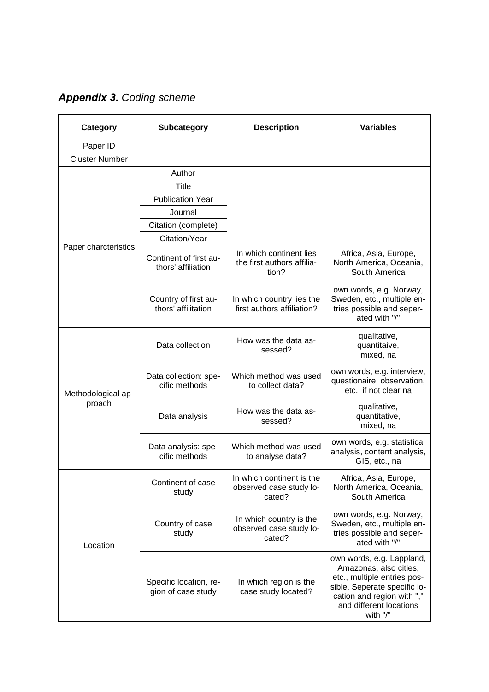*Appendix 3. Coding scheme* 

| Category                     | <b>Subcategory</b>                           | <b>Description</b>                                             | <b>Variables</b>                                                                                                                                                                        |
|------------------------------|----------------------------------------------|----------------------------------------------------------------|-----------------------------------------------------------------------------------------------------------------------------------------------------------------------------------------|
| Paper ID                     |                                              |                                                                |                                                                                                                                                                                         |
| <b>Cluster Number</b>        |                                              |                                                                |                                                                                                                                                                                         |
|                              | Author                                       |                                                                |                                                                                                                                                                                         |
|                              | Title                                        |                                                                |                                                                                                                                                                                         |
| Paper charcteristics         | <b>Publication Year</b>                      |                                                                |                                                                                                                                                                                         |
|                              | Journal                                      |                                                                |                                                                                                                                                                                         |
|                              | Citation (complete)                          |                                                                |                                                                                                                                                                                         |
|                              | Citation/Year                                |                                                                |                                                                                                                                                                                         |
|                              | Continent of first au-<br>thors' affiliation | In which continent lies<br>the first authors affilia-<br>tion? | Africa, Asia, Europe,<br>North America, Oceania,<br>South America                                                                                                                       |
|                              | Country of first au-<br>thors' affilitation  | In which country lies the<br>first authors affiliation?        | own words, e.g. Norway,<br>Sweden, etc., multiple en-<br>tries possible and seper-<br>ated with "/"                                                                                     |
| Methodological ap-<br>proach | Data collection                              | How was the data as-<br>sessed?                                | qualitative,<br>quantitaive,<br>mixed, na                                                                                                                                               |
|                              | Data collection: spe-<br>cific methods       | Which method was used<br>to collect data?                      | own words, e.g. interview,<br>questionaire, observation,<br>etc., if not clear na                                                                                                       |
|                              | Data analysis                                | How was the data as-<br>sessed?                                | qualitative,<br>quantitative,<br>mixed, na                                                                                                                                              |
|                              | Data analysis: spe-<br>cific methods         | Which method was used<br>to analyse data?                      | own words, e.g. statistical<br>analysis, content analysis,<br>GIS, etc., na                                                                                                             |
| Location                     | Continent of case<br>study                   | In which continent is the<br>observed case study lo-<br>cated? | Africa, Asia, Europe,<br>North America, Oceania,<br>South America                                                                                                                       |
|                              | Country of case<br>study                     | In which country is the<br>observed case study lo-<br>cated?   | own words, e.g. Norway,<br>Sweden, etc., multiple en-<br>tries possible and seper-<br>ated with "/"                                                                                     |
|                              | Specific location, re-<br>gion of case study | In which region is the<br>case study located?                  | own words, e.g. Lappland,<br>Amazonas, also cities,<br>etc., multiple entries pos-<br>sible. Seperate specific lo-<br>cation and region with ","<br>and different locations<br>with "/" |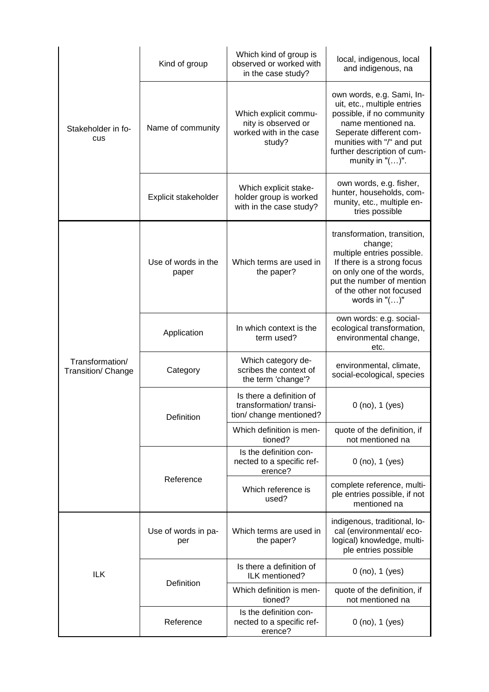| Stakeholder in fo-<br>cus                    | Kind of group                | Which kind of group is<br>observed or worked with<br>in the case study?           | local, indigenous, local<br>and indigenous, na                                                                                                                                                                           |
|----------------------------------------------|------------------------------|-----------------------------------------------------------------------------------|--------------------------------------------------------------------------------------------------------------------------------------------------------------------------------------------------------------------------|
|                                              | Name of community            | Which explicit commu-<br>nity is observed or<br>worked with in the case<br>study? | own words, e.g. Sami, In-<br>uit, etc., multiple entries<br>possible, if no community<br>name mentioned na.<br>Seperate different com-<br>munities with "/" and put<br>further description of cum-<br>munity in $"()"$ . |
|                                              | Explicit stakeholder         | Which explicit stake-<br>holder group is worked<br>with in the case study?        | own words, e.g. fisher,<br>hunter, households, com-<br>munity, etc., multiple en-<br>tries possible                                                                                                                      |
| Transformation/<br><b>Transition/ Change</b> | Use of words in the<br>paper | Which terms are used in<br>the paper?                                             | transformation, transition,<br>change;<br>multiple entries possible.<br>If there is a strong focus<br>on only one of the words,<br>put the number of mention<br>of the other not focused<br>words in $"()"$              |
|                                              | Application                  | In which context is the<br>term used?                                             | own words: e.g. social-<br>ecological transformation,<br>environmental change,<br>etc.                                                                                                                                   |
|                                              | Category                     | Which category de-<br>scribes the context of<br>the term 'change'?                | environmental, climate,<br>social-ecological, species                                                                                                                                                                    |
|                                              | Definition                   | Is there a definition of<br>transformation/transi-<br>tion/ change mentioned?     | $0$ (no), $1$ (yes)                                                                                                                                                                                                      |
|                                              |                              | Which definition is men-<br>tioned?                                               | quote of the definition, if<br>not mentioned na                                                                                                                                                                          |
|                                              | Reference                    | Is the definition con-<br>nected to a specific ref-<br>erence?                    | $0$ (no), $1$ (yes)                                                                                                                                                                                                      |
|                                              |                              | Which reference is<br>used?                                                       | complete reference, multi-<br>ple entries possible, if not<br>mentioned na                                                                                                                                               |
| <b>ILK</b>                                   | Use of words in pa-<br>per   | Which terms are used in<br>the paper?                                             | indigenous, traditional, lo-<br>cal (environmental/eco-<br>logical) knowledge, multi-<br>ple entries possible                                                                                                            |
|                                              | Definition                   | Is there a definition of<br>ILK mentioned?                                        | $0$ (no), $1$ (yes)                                                                                                                                                                                                      |
|                                              |                              | Which definition is men-<br>tioned?                                               | quote of the definition, if<br>not mentioned na                                                                                                                                                                          |
|                                              | Reference                    | Is the definition con-<br>nected to a specific ref-<br>erence?                    | $0$ (no), $1$ (yes)                                                                                                                                                                                                      |